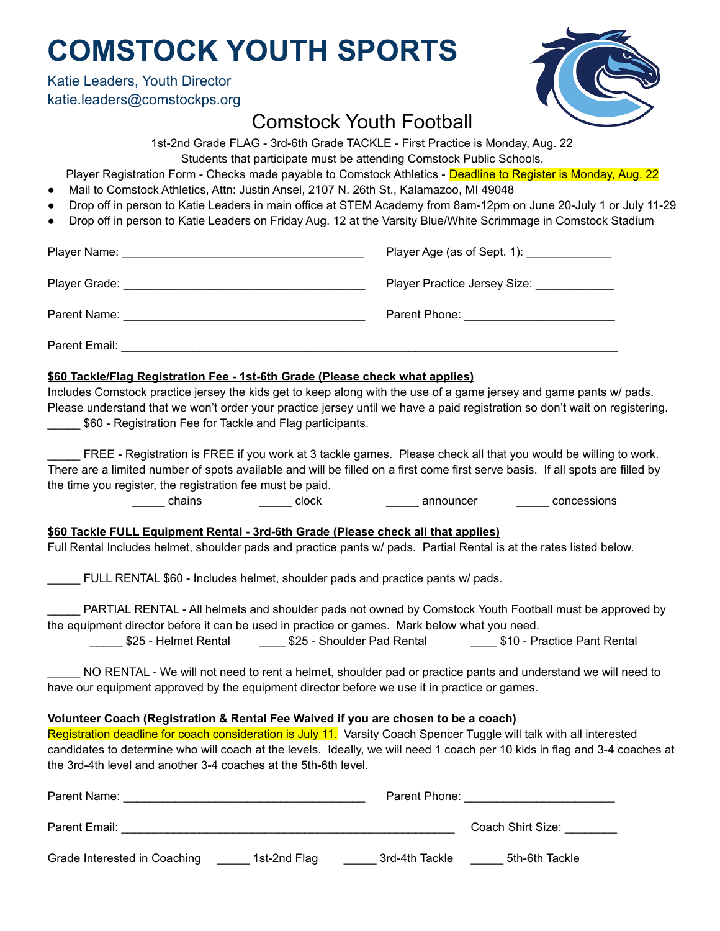# **COMSTOCK YOUTH SPORTS**

Katie Leaders, Youth Director katie.leaders@comstockps.org



### Comstock Youth Football

1st-2nd Grade FLAG - 3rd-6th Grade TACKLE - First Practice is Monday, Aug. 22

Students that participate must be attending Comstock Public Schools.

Player Registration Form - Checks made payable to Comstock Athletics - Deadline to Register is Monday, Aug. 22

- Mail to Comstock Athletics, Attn: Justin Ansel, 2107 N. 26th St., Kalamazoo, MI 49048
- Drop off in person to Katie Leaders in main office at STEM Academy from 8am-12pm on June 20-July 1 or July 11-29
- Drop off in person to Katie Leaders on Friday Aug. 12 at the Varsity Blue/White Scrimmage in Comstock Stadium

|                                                                               | Player Age (as of Sept. 1): ______________ |  |  |
|-------------------------------------------------------------------------------|--------------------------------------------|--|--|
|                                                                               | Player Practice Jersey Size: _____________ |  |  |
|                                                                               |                                            |  |  |
|                                                                               |                                            |  |  |
| \$60 Tackle/Flag Registration Fee - 1st-6th Grade (Please check what applies) |                                            |  |  |

Includes Comstock practice jersey the kids get to keep along with the use of a game jersey and game pants w/ pads. Please understand that we won't order your practice jersey until we have a paid registration so don't wait on registering. \$60 - Registration Fee for Tackle and Flag participants.

FREE - Registration is FREE if you work at 3 tackle games. Please check all that you would be willing to work. There are a limited number of spots available and will be filled on a first come first serve basis. If all spots are filled by the time you register, the registration fee must be paid.

chains announcer concessions chains announcer concessions

**\$60 Tackle FULL Equipment Rental - 3rd-6th Grade (Please check all that applies)**

Full Rental Includes helmet, shoulder pads and practice pants w/ pads. Partial Rental is at the rates listed below.

\_\_\_\_\_ FULL RENTAL \$60 - Includes helmet, shoulder pads and practice pants w/ pads.

\_\_\_\_\_ PARTIAL RENTAL - All helmets and shoulder pads not owned by Comstock Youth Football must be approved by the equipment director before it can be used in practice or games. Mark below what you need.

\$25 - Helmet Rental \_\_\_\_\_\_\_\_\_ \$25 - Shoulder Pad Rental \_\_\_\_\_\_\_\_\_\_\_\_\_\_\_ \$10 - Practice Pant Rental

NO RENTAL - We will not need to rent a helmet, shoulder pad or practice pants and understand we will need to have our equipment approved by the equipment director before we use it in practice or games.

#### **Volunteer Coach (Registration & Rental Fee Waived if you are chosen to be a coach)**

Registration deadline for coach consideration is July 11. Varsity Coach Spencer Tuggle will talk with all interested candidates to determine who will coach at the levels. Ideally, we will need 1 coach per 10 kids in flag and 3-4 coaches at the 3rd-4th level and another 3-4 coaches at the 5th-6th level.

| Parent Name:                 |              | Parent Phone:  |                   |
|------------------------------|--------------|----------------|-------------------|
| Parent Email:                |              |                | Coach Shirt Size: |
| Grade Interested in Coaching | 1st-2nd Flag | 3rd-4th Tackle | 5th-6th Tackle    |